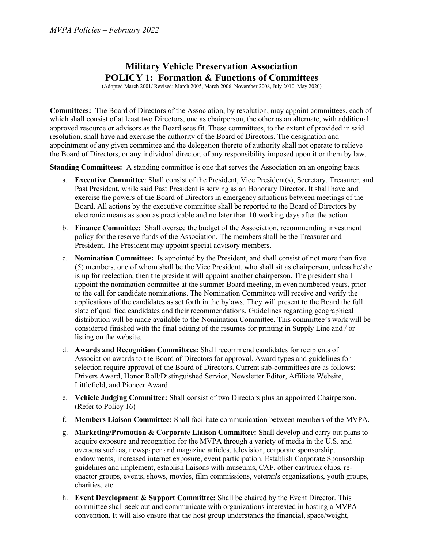### Military Vehicle Preservation Association POLICY 1: Formation & Functions of Committees

(Adopted March 2001/ Revised: March 2005, March 2006, November 2008, July 2010, May 2020)

Committees: The Board of Directors of the Association, by resolution, may appoint committees, each of which shall consist of at least two Directors, one as chairperson, the other as an alternate, with additional approved resource or advisors as the Board sees fit. These committees, to the extent of provided in said resolution, shall have and exercise the authority of the Board of Directors. The designation and appointment of any given committee and the delegation thereto of authority shall not operate to relieve the Board of Directors, or any individual director, of any responsibility imposed upon it or them by law.

Standing Committees: A standing committee is one that serves the Association on an ongoing basis.

- a. Executive Committee: Shall consist of the President, Vice President(s), Secretary, Treasurer, and Past President, while said Past President is serving as an Honorary Director. It shall have and exercise the powers of the Board of Directors in emergency situations between meetings of the Board. All actions by the executive committee shall be reported to the Board of Directors by electronic means as soon as practicable and no later than 10 working days after the action.
- b. Finance Committee: Shall oversee the budget of the Association, recommending investment policy for the reserve funds of the Association. The members shall be the Treasurer and President. The President may appoint special advisory members.
- c. Nomination Committee: Is appointed by the President, and shall consist of not more than five (5) members, one of whom shall be the Vice President, who shall sit as chairperson, unless he/she is up for reelection, then the president will appoint another chairperson. The president shall appoint the nomination committee at the summer Board meeting, in even numbered years, prior to the call for candidate nominations. The Nomination Committee will receive and verify the applications of the candidates as set forth in the bylaws. They will present to the Board the full slate of qualified candidates and their recommendations. Guidelines regarding geographical distribution will be made available to the Nomination Committee. This committee's work will be considered finished with the final editing of the resumes for printing in Supply Line and / or listing on the website.
- d. Awards and Recognition Committees: Shall recommend candidates for recipients of Association awards to the Board of Directors for approval. Award types and guidelines for selection require approval of the Board of Directors. Current sub-committees are as follows: Drivers Award, Honor Roll/Distinguished Service, Newsletter Editor, Affiliate Website, Littlefield, and Pioneer Award.
- e. Vehicle Judging Committee: Shall consist of two Directors plus an appointed Chairperson. (Refer to Policy 16)
- f. Members Liaison Committee: Shall facilitate communication between members of the MVPA.
- g. Marketing/Promotion & Corporate Liaison Committee: Shall develop and carry out plans to acquire exposure and recognition for the MVPA through a variety of media in the U.S. and overseas such as; newspaper and magazine articles, television, corporate sponsorship, endowments, increased internet exposure, event participation. Establish Corporate Sponsorship guidelines and implement, establish liaisons with museums, CAF, other car/truck clubs, reenactor groups, events, shows, movies, film commissions, veteran's organizations, youth groups, charities, etc.
- h. Event Development  $\&$  Support Committee: Shall be chaired by the Event Director. This committee shall seek out and communicate with organizations interested in hosting a MVPA convention. It will also ensure that the host group understands the financial, space/weight,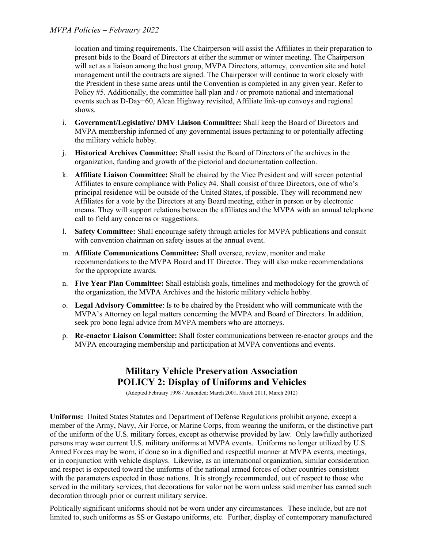location and timing requirements. The Chairperson will assist the Affiliates in their preparation to present bids to the Board of Directors at either the summer or winter meeting. The Chairperson will act as a liaison among the host group, MVPA Directors, attorney, convention site and hotel management until the contracts are signed. The Chairperson will continue to work closely with the President in these same areas until the Convention is completed in any given year. Refer to Policy #5. Additionally, the committee hall plan and / or promote national and international events such as D-Day+60, Alcan Highway revisited, Affiliate link-up convoys and regional shows.

- i. Government/Legislative/ DMV Liaison Committee: Shall keep the Board of Directors and MVPA membership informed of any governmental issues pertaining to or potentially affecting the military vehicle hobby.
- j. Historical Archives Committee: Shall assist the Board of Directors of the archives in the organization, funding and growth of the pictorial and documentation collection.
- k. Affiliate Liaison Committee: Shall be chaired by the Vice President and will screen potential Affiliates to ensure compliance with Policy #4. Shall consist of three Directors, one of who's principal residence will be outside of the United States, if possible. They will recommend new Affiliates for a vote by the Directors at any Board meeting, either in person or by electronic means. They will support relations between the affiliates and the MVPA with an annual telephone call to field any concerns or suggestions.
- l. Safety Committee: Shall encourage safety through articles for MVPA publications and consult with convention chairman on safety issues at the annual event.
- m. Affiliate Communications Committee: Shall oversee, review, monitor and make recommendations to the MVPA Board and IT Director. They will also make recommendations for the appropriate awards.
- n. Five Year Plan Committee: Shall establish goals, timelines and methodology for the growth of the organization, the MVPA Archives and the historic military vehicle hobby.
- o. Legal Advisory Committee: Is to be chaired by the President who will communicate with the MVPA's Attorney on legal matters concerning the MVPA and Board of Directors. In addition, seek pro bono legal advice from MVPA members who are attorneys.
- p. Re-enactor Liaison Committee: Shall foster communications between re-enactor groups and the MVPA encouraging membership and participation at MVPA conventions and events.

# Military Vehicle Preservation Association POLICY 2: Display of Uniforms and Vehicles

(Adopted February 1998 / Amended: March 2001, March 2011, March 2012)

Uniforms: United States Statutes and Department of Defense Regulations prohibit anyone, except a member of the Army, Navy, Air Force, or Marine Corps, from wearing the uniform, or the distinctive part of the uniform of the U.S. military forces, except as otherwise provided by law. Only lawfully authorized persons may wear current U.S. military uniforms at MVPA events. Uniforms no longer utilized by U.S. Armed Forces may be worn, if done so in a dignified and respectful manner at MVPA events, meetings, or in conjunction with vehicle displays. Likewise, as an international organization, similar consideration and respect is expected toward the uniforms of the national armed forces of other countries consistent with the parameters expected in those nations. It is strongly recommended, out of respect to those who served in the military services, that decorations for valor not be worn unless said member has earned such decoration through prior or current military service.

Politically significant uniforms should not be worn under any circumstances. These include, but are not limited to, such uniforms as SS or Gestapo uniforms, etc. Further, display of contemporary manufactured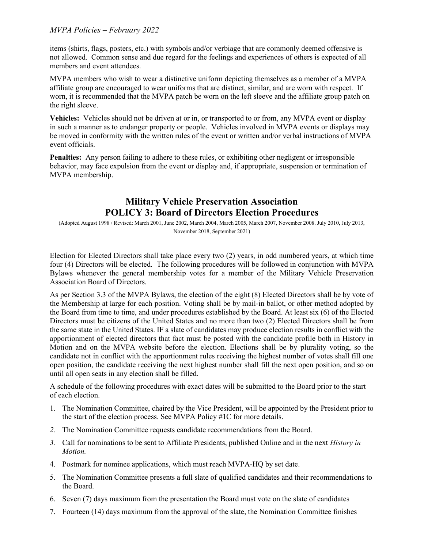items (shirts, flags, posters, etc.) with symbols and/or verbiage that are commonly deemed offensive is not allowed. Common sense and due regard for the feelings and experiences of others is expected of all members and event attendees.

MVPA members who wish to wear a distinctive uniform depicting themselves as a member of a MVPA affiliate group are encouraged to wear uniforms that are distinct, similar, and are worn with respect. If worn, it is recommended that the MVPA patch be worn on the left sleeve and the affiliate group patch on the right sleeve.

Vehicles: Vehicles should not be driven at or in, or transported to or from, any MVPA event or display in such a manner as to endanger property or people. Vehicles involved in MVPA events or displays may be moved in conformity with the written rules of the event or written and/or verbal instructions of MVPA event officials.

Penalties: Any person failing to adhere to these rules, or exhibiting other negligent or irresponsible behavior, may face expulsion from the event or display and, if appropriate, suspension or termination of MVPA membership.

# Military Vehicle Preservation Association POLICY 3: Board of Directors Election Procedures

(Adopted August 1998 / Revised: March 2001, June 2002, March 2004, March 2005, March 2007, November 2008. July 2010, July 2013, November 2018, September 2021)

Election for Elected Directors shall take place every two (2) years, in odd numbered years, at which time four (4) Directors will be elected. The following procedures will be followed in conjunction with MVPA Bylaws whenever the general membership votes for a member of the Military Vehicle Preservation Association Board of Directors.

As per Section 3.3 of the MVPA Bylaws, the election of the eight (8) Elected Directors shall be by vote of the Membership at large for each position. Voting shall be by mail-in ballot, or other method adopted by the Board from time to time, and under procedures established by the Board. At least six (6) of the Elected Directors must be citizens of the United States and no more than two (2) Elected Directors shall be from the same state in the United States. IF a slate of candidates may produce election results in conflict with the apportionment of elected directors that fact must be posted with the candidate profile both in History in Motion and on the MVPA website before the election. Elections shall be by plurality voting, so the candidate not in conflict with the apportionment rules receiving the highest number of votes shall fill one open position, the candidate receiving the next highest number shall fill the next open position, and so on until all open seats in any election shall be filled.

A schedule of the following procedures with exact dates will be submitted to the Board prior to the start of each election.

- 1. The Nomination Committee, chaired by the Vice President, will be appointed by the President prior to the start of the election process. See MVPA Policy #1C for more details.
- 2. The Nomination Committee requests candidate recommendations from the Board.
- 3. Call for nominations to be sent to Affiliate Presidents, published Online and in the next History in Motion.
- 4. Postmark for nominee applications, which must reach MVPA-HQ by set date.
- 5. The Nomination Committee presents a full slate of qualified candidates and their recommendations to the Board.
- 6. Seven (7) days maximum from the presentation the Board must vote on the slate of candidates
- 7. Fourteen (14) days maximum from the approval of the slate, the Nomination Committee finishes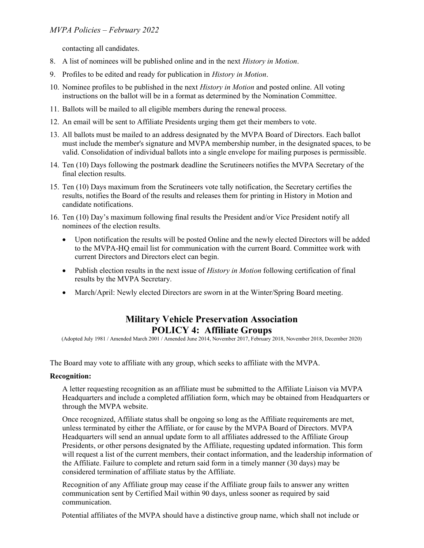contacting all candidates.

- 8. A list of nominees will be published online and in the next History in Motion.
- 9. Profiles to be edited and ready for publication in History in Motion.
- 10. Nominee profiles to be published in the next History in Motion and posted online. All voting instructions on the ballot will be in a format as determined by the Nomination Committee.
- 11. Ballots will be mailed to all eligible members during the renewal process.
- 12. An email will be sent to Affiliate Presidents urging them get their members to vote.
- 13. All ballots must be mailed to an address designated by the MVPA Board of Directors. Each ballot must include the member's signature and MVPA membership number, in the designated spaces, to be valid. Consolidation of individual ballots into a single envelope for mailing purposes is permissible.
- 14. Ten (10) Days following the postmark deadline the Scrutineers notifies the MVPA Secretary of the final election results.
- 15. Ten (10) Days maximum from the Scrutineers vote tally notification, the Secretary certifies the results, notifies the Board of the results and releases them for printing in History in Motion and candidate notifications.
- 16. Ten (10) Day's maximum following final results the President and/or Vice President notify all nominees of the election results.
	- Upon notification the results will be posted Online and the newly elected Directors will be added to the MVPA-HQ email list for communication with the current Board. Committee work with current Directors and Directors elect can begin.
	- Publish election results in the next issue of *History in Motion* following certification of final results by the MVPA Secretary.
	- March/April: Newly elected Directors are sworn in at the Winter/Spring Board meeting.

## Military Vehicle Preservation Association POLICY 4: Affiliate Groups

(Adopted July 1981 / Amended March 2001 / Amended June 2014, November 2017, February 2018, November 2018, December 2020)

The Board may vote to affiliate with any group, which seeks to affiliate with the MVPA.

#### Recognition:

A letter requesting recognition as an affiliate must be submitted to the Affiliate Liaison via MVPA Headquarters and include a completed affiliation form, which may be obtained from Headquarters or through the MVPA website.

Once recognized, Affiliate status shall be ongoing so long as the Affiliate requirements are met, unless terminated by either the Affiliate, or for cause by the MVPA Board of Directors. MVPA Headquarters will send an annual update form to all affiliates addressed to the Affiliate Group Presidents, or other persons designated by the Affiliate, requesting updated information. This form will request a list of the current members, their contact information, and the leadership information of the Affiliate. Failure to complete and return said form in a timely manner (30 days) may be considered termination of affiliate status by the Affiliate.

Recognition of any Affiliate group may cease if the Affiliate group fails to answer any written communication sent by Certified Mail within 90 days, unless sooner as required by said communication.

Potential affiliates of the MVPA should have a distinctive group name, which shall not include or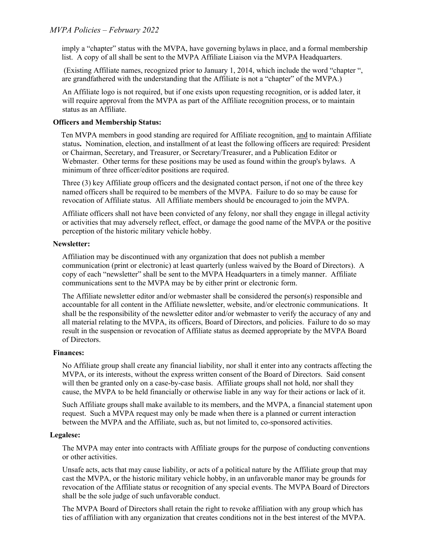imply a "chapter" status with the MVPA, have governing bylaws in place, and a formal membership list. A copy of all shall be sent to the MVPA Affiliate Liaison via the MVPA Headquarters.

 (Existing Affiliate names, recognized prior to January 1, 2014, which include the word "chapter ", are grandfathered with the understanding that the Affiliate is not a "chapter" of the MVPA.)

An Affiliate logo is not required, but if one exists upon requesting recognition, or is added later, it will require approval from the MVPA as part of the Affiliate recognition process, or to maintain status as an Affiliate.

#### Officers and Membership Status:

 Ten MVPA members in good standing are required for Affiliate recognition, and to maintain Affiliate status. Nomination, election, and installment of at least the following officers are required: President or Chairman, Secretary, and Treasurer, or Secretary/Treasurer, and a Publication Editor or Webmaster. Other terms for these positions may be used as found within the group's bylaws. A minimum of three officer/editor positions are required.

Three (3) key Affiliate group officers and the designated contact person, if not one of the three key named officers shall be required to be members of the MVPA. Failure to do so may be cause for revocation of Affiliate status. All Affiliate members should be encouraged to join the MVPA.

Affiliate officers shall not have been convicted of any felony, nor shall they engage in illegal activity or activities that may adversely reflect, effect, or damage the good name of the MVPA or the positive perception of the historic military vehicle hobby.

#### Newsletter:

Affiliation may be discontinued with any organization that does not publish a member communication (print or electronic) at least quarterly (unless waived by the Board of Directors). A copy of each "newsletter" shall be sent to the MVPA Headquarters in a timely manner. Affiliate communications sent to the MVPA may be by either print or electronic form.

The Affiliate newsletter editor and/or webmaster shall be considered the person(s) responsible and accountable for all content in the Affiliate newsletter, website, and/or electronic communications. It shall be the responsibility of the newsletter editor and/or webmaster to verify the accuracy of any and all material relating to the MVPA, its officers, Board of Directors, and policies. Failure to do so may result in the suspension or revocation of Affiliate status as deemed appropriate by the MVPA Board of Directors.

#### Finances:

No Affiliate group shall create any financial liability, nor shall it enter into any contracts affecting the MVPA, or its interests, without the express written consent of the Board of Directors. Said consent will then be granted only on a case-by-case basis. Affiliate groups shall not hold, nor shall they cause, the MVPA to be held financially or otherwise liable in any way for their actions or lack of it.

Such Affiliate groups shall make available to its members, and the MVPA, a financial statement upon request. Such a MVPA request may only be made when there is a planned or current interaction between the MVPA and the Affiliate, such as, but not limited to, co-sponsored activities.

#### Legalese:

The MVPA may enter into contracts with Affiliate groups for the purpose of conducting conventions or other activities.

Unsafe acts, acts that may cause liability, or acts of a political nature by the Affiliate group that may cast the MVPA, or the historic military vehicle hobby, in an unfavorable manor may be grounds for revocation of the Affiliate status or recognition of any special events. The MVPA Board of Directors shall be the sole judge of such unfavorable conduct.

The MVPA Board of Directors shall retain the right to revoke affiliation with any group which has ties of affiliation with any organization that creates conditions not in the best interest of the MVPA.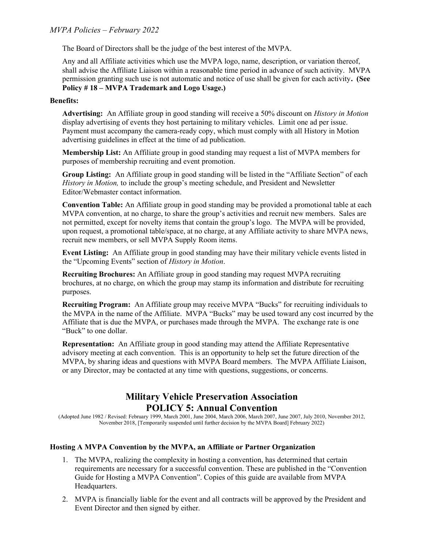The Board of Directors shall be the judge of the best interest of the MVPA.

Any and all Affiliate activities which use the MVPA logo, name, description, or variation thereof, shall advise the Affiliate Liaison within a reasonable time period in advance of such activity. MVPA permission granting such use is not automatic and notice of use shall be given for each activity. (See Policy # 18 – MVPA Trademark and Logo Usage.)

#### Benefits:

Advertising: An Affiliate group in good standing will receive a 50% discount on *History in Motion* display advertising of events they host pertaining to military vehicles. Limit one ad per issue. Payment must accompany the camera-ready copy, which must comply with all History in Motion advertising guidelines in effect at the time of ad publication.

Membership List: An Affiliate group in good standing may request a list of MVPA members for purposes of membership recruiting and event promotion.

Group Listing: An Affiliate group in good standing will be listed in the "Affiliate Section" of each History in Motion, to include the group's meeting schedule, and President and Newsletter Editor/Webmaster contact information.

Convention Table: An Affiliate group in good standing may be provided a promotional table at each MVPA convention, at no charge, to share the group's activities and recruit new members. Sales are not permitted, except for novelty items that contain the group's logo. The MVPA will be provided, upon request, a promotional table/space, at no charge, at any Affiliate activity to share MVPA news, recruit new members, or sell MVPA Supply Room items.

Event Listing: An Affiliate group in good standing may have their military vehicle events listed in the "Upcoming Events" section of History in Motion.

Recruiting Brochures: An Affiliate group in good standing may request MVPA recruiting brochures, at no charge, on which the group may stamp its information and distribute for recruiting purposes.

Recruiting Program: An Affiliate group may receive MVPA "Bucks" for recruiting individuals to the MVPA in the name of the Affiliate. MVPA "Bucks" may be used toward any cost incurred by the Affiliate that is due the MVPA, or purchases made through the MVPA. The exchange rate is one "Buck" to one dollar.

Representation: An Affiliate group in good standing may attend the Affiliate Representative advisory meeting at each convention. This is an opportunity to help set the future direction of the MVPA, by sharing ideas and questions with MVPA Board members. The MVPA Affiliate Liaison, or any Director, may be contacted at any time with questions, suggestions, or concerns.

## Military Vehicle Preservation Association POLICY 5: Annual Convention

(Adopted June 1982 / Revised: February 1999, March 2001, June 2004, March 2006, March 2007, June 2007, July 2010, November 2012, November 2018, [Temporarily suspended until further decision by the MVPA Board] February 2022)

#### Hosting A MVPA Convention by the MVPA, an Affiliate or Partner Organization

- 1. The MVPA, realizing the complexity in hosting a convention, has determined that certain requirements are necessary for a successful convention. These are published in the "Convention Guide for Hosting a MVPA Convention". Copies of this guide are available from MVPA Headquarters.
- 2. MVPA is financially liable for the event and all contracts will be approved by the President and Event Director and then signed by either.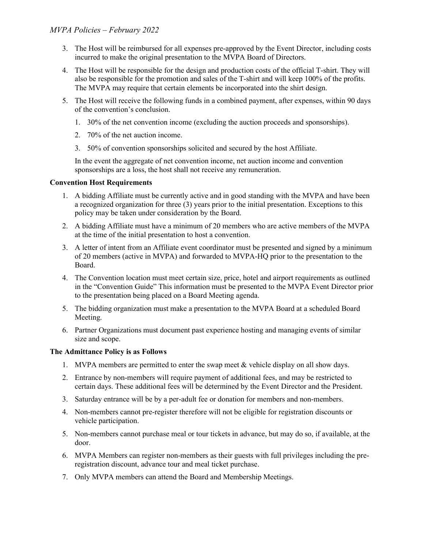- 3. The Host will be reimbursed for all expenses pre-approved by the Event Director, including costs incurred to make the original presentation to the MVPA Board of Directors.
- 4. The Host will be responsible for the design and production costs of the official T-shirt. They will also be responsible for the promotion and sales of the T-shirt and will keep 100% of the profits. The MVPA may require that certain elements be incorporated into the shirt design.
- 5. The Host will receive the following funds in a combined payment, after expenses, within 90 days of the convention's conclusion.
	- 1. 30% of the net convention income (excluding the auction proceeds and sponsorships).
	- 2. 70% of the net auction income.
	- 3. 50% of convention sponsorships solicited and secured by the host Affiliate.

In the event the aggregate of net convention income, net auction income and convention sponsorships are a loss, the host shall not receive any remuneration.

#### Convention Host Requirements

- 1. A bidding Affiliate must be currently active and in good standing with the MVPA and have been a recognized organization for three (3) years prior to the initial presentation. Exceptions to this policy may be taken under consideration by the Board.
- 2. A bidding Affiliate must have a minimum of 20 members who are active members of the MVPA at the time of the initial presentation to host a convention.
- 3. A letter of intent from an Affiliate event coordinator must be presented and signed by a minimum of 20 members (active in MVPA) and forwarded to MVPA-HQ prior to the presentation to the Board.
- 4. The Convention location must meet certain size, price, hotel and airport requirements as outlined in the "Convention Guide" This information must be presented to the MVPA Event Director prior to the presentation being placed on a Board Meeting agenda.
- 5. The bidding organization must make a presentation to the MVPA Board at a scheduled Board Meeting.
- 6. Partner Organizations must document past experience hosting and managing events of similar size and scope.

#### The Admittance Policy is as Follows

- 1. MVPA members are permitted to enter the swap meet & vehicle display on all show days.
- 2. Entrance by non-members will require payment of additional fees, and may be restricted to certain days. These additional fees will be determined by the Event Director and the President.
- 3. Saturday entrance will be by a per-adult fee or donation for members and non-members.
- 4. Non-members cannot pre-register therefore will not be eligible for registration discounts or vehicle participation.
- 5. Non-members cannot purchase meal or tour tickets in advance, but may do so, if available, at the door.
- 6. MVPA Members can register non-members as their guests with full privileges including the preregistration discount, advance tour and meal ticket purchase.
- 7. Only MVPA members can attend the Board and Membership Meetings.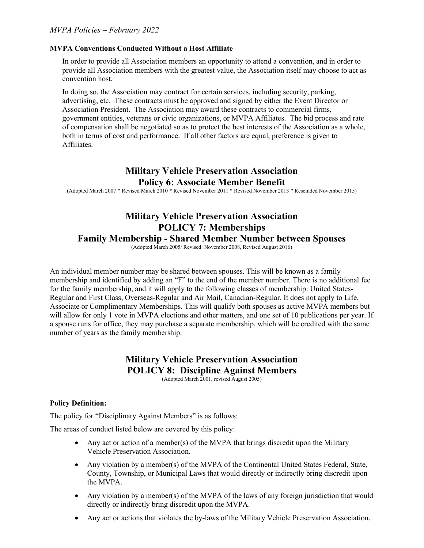#### MVPA Conventions Conducted Without a Host Affiliate

In order to provide all Association members an opportunity to attend a convention, and in order to provide all Association members with the greatest value, the Association itself may choose to act as convention host.

In doing so, the Association may contract for certain services, including security, parking, advertising, etc. These contracts must be approved and signed by either the Event Director or Association President. The Association may award these contracts to commercial firms, government entities, veterans or civic organizations, or MVPA Affiliates. The bid process and rate of compensation shall be negotiated so as to protect the best interests of the Association as a whole, both in terms of cost and performance. If all other factors are equal, preference is given to Affiliates.

### Military Vehicle Preservation Association Policy 6: Associate Member Benefit

(Adopted March 2007 \* Revised March 2010 \* Revised November 2011 \* Revised November 2013 \* Rescinded November 2015)

# Military Vehicle Preservation Association POLICY 7: Memberships

#### Family Membership - Shared Member Number between Spouses

(Adopted March 2005/ Revised: November 2008, Revised August 2016)

An individual member number may be shared between spouses. This will be known as a family membership and identified by adding an "F" to the end of the member number. There is no additional fee for the family membership, and it will apply to the following classes of membership: United States-Regular and First Class, Overseas-Regular and Air Mail, Canadian-Regular. It does not apply to Life, Associate or Complimentary Memberships. This will qualify both spouses as active MVPA members but will allow for only 1 vote in MVPA elections and other matters, and one set of 10 publications per year. If a spouse runs for office, they may purchase a separate membership, which will be credited with the same number of years as the family membership.

# Military Vehicle Preservation Association POLICY 8: Discipline Against Members

(Adopted March 2001, revised August 2005)

#### Policy Definition:

The policy for "Disciplinary Against Members" is as follows:

The areas of conduct listed below are covered by this policy:

- Any act or action of a member(s) of the MVPA that brings discredit upon the Military Vehicle Preservation Association.
- Any violation by a member(s) of the MVPA of the Continental United States Federal, State, County, Township, or Municipal Laws that would directly or indirectly bring discredit upon the MVPA.
- Any violation by a member(s) of the MVPA of the laws of any foreign jurisdiction that would directly or indirectly bring discredit upon the MVPA.
- Any act or actions that violates the by-laws of the Military Vehicle Preservation Association.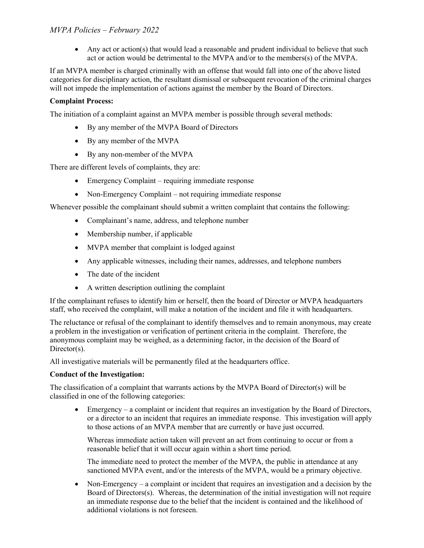• Any act or action(s) that would lead a reasonable and prudent individual to believe that such act or action would be detrimental to the MVPA and/or to the members(s) of the MVPA.

If an MVPA member is charged criminally with an offense that would fall into one of the above listed categories for disciplinary action, the resultant dismissal or subsequent revocation of the criminal charges will not impede the implementation of actions against the member by the Board of Directors.

#### Complaint Process:

The initiation of a complaint against an MVPA member is possible through several methods:

- By any member of the MVPA Board of Directors
- By any member of the MVPA
- By any non-member of the MVPA

There are different levels of complaints, they are:

- Emergency Complaint requiring immediate response
- Non-Emergency Complaint not requiring immediate response

Whenever possible the complainant should submit a written complaint that contains the following:

- Complainant's name, address, and telephone number
- Membership number, if applicable
- MVPA member that complaint is lodged against
- Any applicable witnesses, including their names, addresses, and telephone numbers
- The date of the incident
- A written description outlining the complaint

If the complainant refuses to identify him or herself, then the board of Director or MVPA headquarters staff, who received the complaint, will make a notation of the incident and file it with headquarters.

The reluctance or refusal of the complainant to identify themselves and to remain anonymous, may create a problem in the investigation or verification of pertinent criteria in the complaint. Therefore, the anonymous complaint may be weighed, as a determining factor, in the decision of the Board of Director(s).

All investigative materials will be permanently filed at the headquarters office.

#### Conduct of the Investigation:

The classification of a complaint that warrants actions by the MVPA Board of Director(s) will be classified in one of the following categories:

 Emergency – a complaint or incident that requires an investigation by the Board of Directors, or a director to an incident that requires an immediate response. This investigation will apply to those actions of an MVPA member that are currently or have just occurred.

Whereas immediate action taken will prevent an act from continuing to occur or from a reasonable belief that it will occur again within a short time period.

The immediate need to protect the member of the MVPA, the public in attendance at any sanctioned MVPA event, and/or the interests of the MVPA, would be a primary objective.

• Non-Emergency – a complaint or incident that requires an investigation and a decision by the Board of Directors(s). Whereas, the determination of the initial investigation will not require an immediate response due to the belief that the incident is contained and the likelihood of additional violations is not foreseen.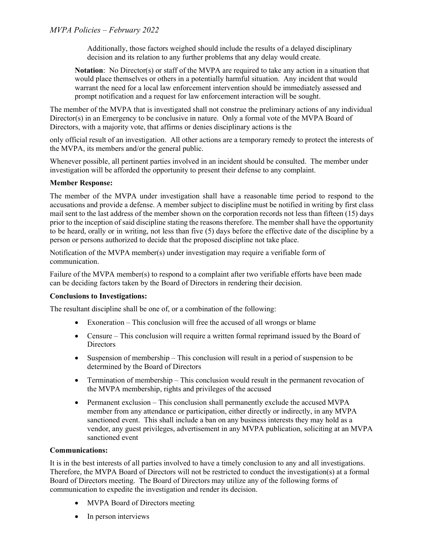Additionally, those factors weighed should include the results of a delayed disciplinary decision and its relation to any further problems that any delay would create.

Notation: No Director(s) or staff of the MVPA are required to take any action in a situation that would place themselves or others in a potentially harmful situation. Any incident that would warrant the need for a local law enforcement intervention should be immediately assessed and prompt notification and a request for law enforcement interaction will be sought.

The member of the MVPA that is investigated shall not construe the preliminary actions of any individual Director(s) in an Emergency to be conclusive in nature. Only a formal vote of the MVPA Board of Directors, with a majority vote, that affirms or denies disciplinary actions is the

only official result of an investigation. All other actions are a temporary remedy to protect the interests of the MVPA, its members and/or the general public.

Whenever possible, all pertinent parties involved in an incident should be consulted. The member under investigation will be afforded the opportunity to present their defense to any complaint.

#### Member Response:

The member of the MVPA under investigation shall have a reasonable time period to respond to the accusations and provide a defense. A member subject to discipline must be notified in writing by first class mail sent to the last address of the member shown on the corporation records not less than fifteen (15) days prior to the inception of said discipline stating the reasons therefore. The member shall have the opportunity to be heard, orally or in writing, not less than five (5) days before the effective date of the discipline by a person or persons authorized to decide that the proposed discipline not take place.

Notification of the MVPA member(s) under investigation may require a verifiable form of communication.

Failure of the MVPA member(s) to respond to a complaint after two verifiable efforts have been made can be deciding factors taken by the Board of Directors in rendering their decision.

#### Conclusions to Investigations:

The resultant discipline shall be one of, or a combination of the following:

- Exoneration This conclusion will free the accused of all wrongs or blame
- Censure This conclusion will require a written formal reprimand issued by the Board of **Directors**
- Suspension of membership This conclusion will result in a period of suspension to be determined by the Board of Directors
- Termination of membership This conclusion would result in the permanent revocation of the MVPA membership, rights and privileges of the accused
- Permanent exclusion This conclusion shall permanently exclude the accused MVPA member from any attendance or participation, either directly or indirectly, in any MVPA sanctioned event. This shall include a ban on any business interests they may hold as a vendor, any guest privileges, advertisement in any MVPA publication, soliciting at an MVPA sanctioned event

#### Communications:

It is in the best interests of all parties involved to have a timely conclusion to any and all investigations. Therefore, the MVPA Board of Directors will not be restricted to conduct the investigation(s) at a formal Board of Directors meeting. The Board of Directors may utilize any of the following forms of communication to expedite the investigation and render its decision.

- MVPA Board of Directors meeting
- In person interviews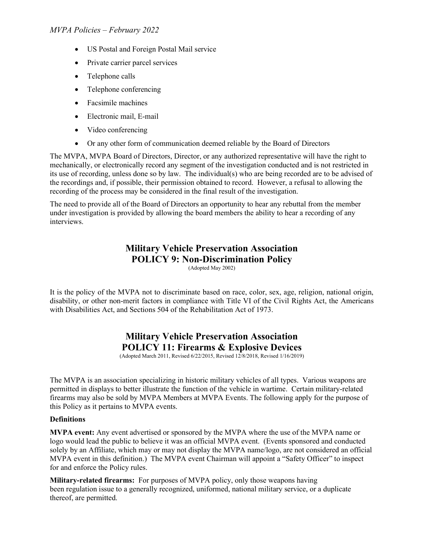- US Postal and Foreign Postal Mail service
- Private carrier parcel services
- Telephone calls
- Telephone conferencing
- Facsimile machines
- Electronic mail, E-mail
- Video conferencing
- Or any other form of communication deemed reliable by the Board of Directors

The MVPA, MVPA Board of Directors, Director, or any authorized representative will have the right to mechanically, or electronically record any segment of the investigation conducted and is not restricted in its use of recording, unless done so by law. The individual(s) who are being recorded are to be advised of the recordings and, if possible, their permission obtained to record. However, a refusal to allowing the recording of the process may be considered in the final result of the investigation.

The need to provide all of the Board of Directors an opportunity to hear any rebuttal from the member under investigation is provided by allowing the board members the ability to hear a recording of any interviews.

# Military Vehicle Preservation Association POLICY 9: Non-Discrimination Policy

(Adopted May 2002)

It is the policy of the MVPA not to discriminate based on race, color, sex, age, religion, national origin, disability, or other non-merit factors in compliance with Title VI of the Civil Rights Act, the Americans with Disabilities Act, and Sections 504 of the Rehabilitation Act of 1973.

# Military Vehicle Preservation Association POLICY 11: Firearms & Explosive Devices

(Adopted March 2011, Revised 6/22/2015, Revised 12/8/2018, Revised 1/16/2019)

The MVPA is an association specializing in historic military vehicles of all types. Various weapons are permitted in displays to better illustrate the function of the vehicle in wartime. Certain military-related firearms may also be sold by MVPA Members at MVPA Events. The following apply for the purpose of this Policy as it pertains to MVPA events.

#### **Definitions**

MVPA event: Any event advertised or sponsored by the MVPA where the use of the MVPA name or logo would lead the public to believe it was an official MVPA event. (Events sponsored and conducted solely by an Affiliate, which may or may not display the MVPA name/logo, are not considered an official MVPA event in this definition.) The MVPA event Chairman will appoint a "Safety Officer" to inspect for and enforce the Policy rules.

Military-related firearms: For purposes of MVPA policy, only those weapons having been regulation issue to a generally recognized, uniformed, national military service, or a duplicate thereof, are permitted.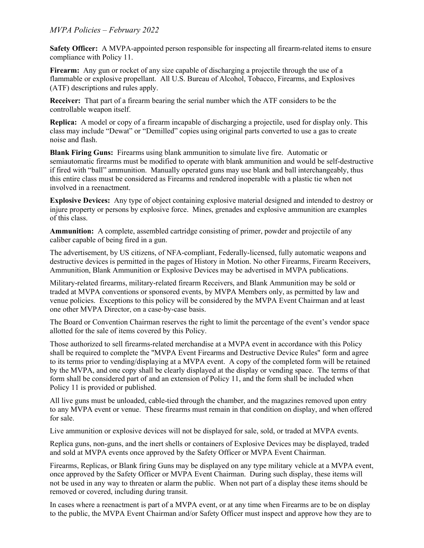Safety Officer: A MVPA-appointed person responsible for inspecting all firearm-related items to ensure compliance with Policy 11.

Firearm: Any gun or rocket of any size capable of discharging a projectile through the use of a flammable or explosive propellant. All U.S. Bureau of Alcohol, Tobacco, Firearms, and Explosives (ATF) descriptions and rules apply.

Receiver: That part of a firearm bearing the serial number which the ATF considers to be the controllable weapon itself.

Replica: A model or copy of a firearm incapable of discharging a projectile, used for display only. This class may include "Dewat" or "Demilled" copies using original parts converted to use a gas to create noise and flash.

Blank Firing Guns: Firearms using blank ammunition to simulate live fire. Automatic or semiautomatic firearms must be modified to operate with blank ammunition and would be self-destructive if fired with "ball" ammunition. Manually operated guns may use blank and ball interchangeably, thus this entire class must be considered as Firearms and rendered inoperable with a plastic tie when not involved in a reenactment.

Explosive Devices: Any type of object containing explosive material designed and intended to destroy or injure property or persons by explosive force. Mines, grenades and explosive ammunition are examples of this class.

Ammunition: A complete, assembled cartridge consisting of primer, powder and projectile of any caliber capable of being fired in a gun.

The advertisement, by US citizens, of NFA-compliant, Federally-licensed, fully automatic weapons and destructive devices is permitted in the pages of History in Motion. No other Firearms, Firearm Receivers, Ammunition, Blank Ammunition or Explosive Devices may be advertised in MVPA publications.

Military-related firearms, military-related firearm Receivers, and Blank Ammunition may be sold or traded at MVPA conventions or sponsored events, by MVPA Members only, as permitted by law and venue policies. Exceptions to this policy will be considered by the MVPA Event Chairman and at least one other MVPA Director, on a case-by-case basis.

The Board or Convention Chairman reserves the right to limit the percentage of the event's vendor space allotted for the sale of items covered by this Policy.

Those authorized to sell firearms-related merchandise at a MVPA event in accordance with this Policy shall be required to complete the "MVPA Event Firearms and Destructive Device Rules" form and agree to its terms prior to vending/displaying at a MVPA event. A copy of the completed form will be retained by the MVPA, and one copy shall be clearly displayed at the display or vending space. The terms of that form shall be considered part of and an extension of Policy 11, and the form shall be included when Policy 11 is provided or published.

All live guns must be unloaded, cable-tied through the chamber, and the magazines removed upon entry to any MVPA event or venue. These firearms must remain in that condition on display, and when offered for sale.

Live ammunition or explosive devices will not be displayed for sale, sold, or traded at MVPA events.

Replica guns, non-guns, and the inert shells or containers of Explosive Devices may be displayed, traded and sold at MVPA events once approved by the Safety Officer or MVPA Event Chairman.

Firearms, Replicas, or Blank firing Guns may be displayed on any type military vehicle at a MVPA event, once approved by the Safety Officer or MVPA Event Chairman. During such display, these items will not be used in any way to threaten or alarm the public. When not part of a display these items should be removed or covered, including during transit.

In cases where a reenactment is part of a MVPA event, or at any time when Firearms are to be on display to the public, the MVPA Event Chairman and/or Safety Officer must inspect and approve how they are to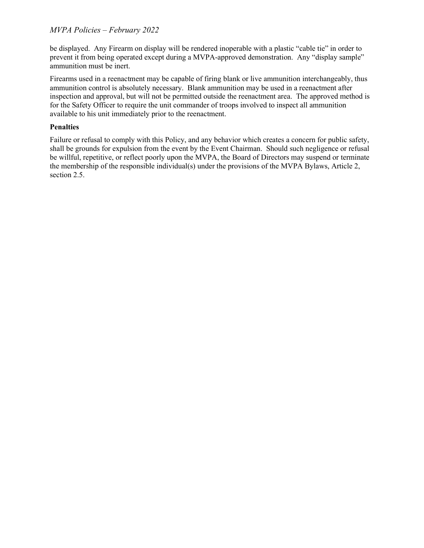be displayed. Any Firearm on display will be rendered inoperable with a plastic "cable tie" in order to prevent it from being operated except during a MVPA-approved demonstration. Any "display sample" ammunition must be inert.

Firearms used in a reenactment may be capable of firing blank or live ammunition interchangeably, thus ammunition control is absolutely necessary. Blank ammunition may be used in a reenactment after inspection and approval, but will not be permitted outside the reenactment area. The approved method is for the Safety Officer to require the unit commander of troops involved to inspect all ammunition available to his unit immediately prior to the reenactment.

#### Penalties

Failure or refusal to comply with this Policy, and any behavior which creates a concern for public safety, shall be grounds for expulsion from the event by the Event Chairman. Should such negligence or refusal be willful, repetitive, or reflect poorly upon the MVPA, the Board of Directors may suspend or terminate the membership of the responsible individual(s) under the provisions of the MVPA Bylaws, Article 2, section 2.5.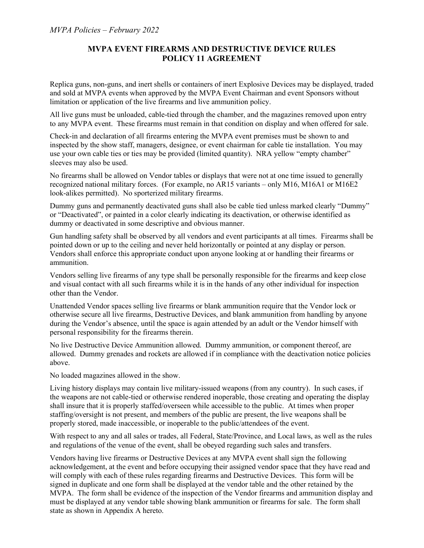### MVPA EVENT FIREARMS AND DESTRUCTIVE DEVICE RULES POLICY 11 AGREEMENT

Replica guns, non-guns, and inert shells or containers of inert Explosive Devices may be displayed, traded and sold at MVPA events when approved by the MVPA Event Chairman and event Sponsors without limitation or application of the live firearms and live ammunition policy.

All live guns must be unloaded, cable-tied through the chamber, and the magazines removed upon entry to any MVPA event. These firearms must remain in that condition on display and when offered for sale.

Check-in and declaration of all firearms entering the MVPA event premises must be shown to and inspected by the show staff, managers, designee, or event chairman for cable tie installation. You may use your own cable ties or ties may be provided (limited quantity). NRA yellow "empty chamber" sleeves may also be used.

No firearms shall be allowed on Vendor tables or displays that were not at one time issued to generally recognized national military forces. (For example, no AR15 variants – only M16, M16A1 or M16E2 look-alikes permitted). No sporterized military firearms.

Dummy guns and permanently deactivated guns shall also be cable tied unless marked clearly "Dummy" or "Deactivated", or painted in a color clearly indicating its deactivation, or otherwise identified as dummy or deactivated in some descriptive and obvious manner.

Gun handling safety shall be observed by all vendors and event participants at all times. Firearms shall be pointed down or up to the ceiling and never held horizontally or pointed at any display or person. Vendors shall enforce this appropriate conduct upon anyone looking at or handling their firearms or ammunition.

Vendors selling live firearms of any type shall be personally responsible for the firearms and keep close and visual contact with all such firearms while it is in the hands of any other individual for inspection other than the Vendor.

Unattended Vendor spaces selling live firearms or blank ammunition require that the Vendor lock or otherwise secure all live firearms, Destructive Devices, and blank ammunition from handling by anyone during the Vendor's absence, until the space is again attended by an adult or the Vendor himself with personal responsibility for the firearms therein.

No live Destructive Device Ammunition allowed. Dummy ammunition, or component thereof, are allowed. Dummy grenades and rockets are allowed if in compliance with the deactivation notice policies above.

No loaded magazines allowed in the show.

Living history displays may contain live military-issued weapons (from any country). In such cases, if the weapons are not cable-tied or otherwise rendered inoperable, those creating and operating the display shall insure that it is properly staffed/overseen while accessible to the public. At times when proper staffing/oversight is not present, and members of the public are present, the live weapons shall be properly stored, made inaccessible, or inoperable to the public/attendees of the event.

With respect to any and all sales or trades, all Federal, State/Province, and Local laws, as well as the rules and regulations of the venue of the event, shall be obeyed regarding such sales and transfers.

Vendors having live firearms or Destructive Devices at any MVPA event shall sign the following acknowledgement, at the event and before occupying their assigned vendor space that they have read and will comply with each of these rules regarding firearms and Destructive Devices. This form will be signed in duplicate and one form shall be displayed at the vendor table and the other retained by the MVPA. The form shall be evidence of the inspection of the Vendor firearms and ammunition display and must be displayed at any vendor table showing blank ammunition or firearms for sale. The form shall state as shown in Appendix A hereto.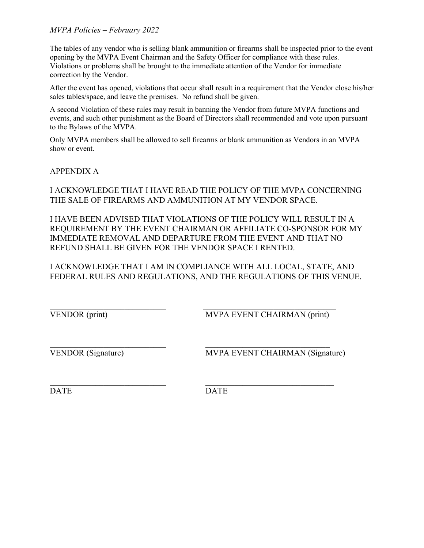The tables of any vendor who is selling blank ammunition or firearms shall be inspected prior to the event opening by the MVPA Event Chairman and the Safety Officer for compliance with these rules. Violations or problems shall be brought to the immediate attention of the Vendor for immediate correction by the Vendor.

After the event has opened, violations that occur shall result in a requirement that the Vendor close his/her sales tables/space, and leave the premises. No refund shall be given.

A second Violation of these rules may result in banning the Vendor from future MVPA functions and events, and such other punishment as the Board of Directors shall recommended and vote upon pursuant to the Bylaws of the MVPA.

Only MVPA members shall be allowed to sell firearms or blank ammunition as Vendors in an MVPA show or event.

APPENDIX A

I ACKNOWLEDGE THAT I HAVE READ THE POLICY OF THE MVPA CONCERNING THE SALE OF FIREARMS AND AMMUNITION AT MY VENDOR SPACE.

I HAVE BEEN ADVISED THAT VIOLATIONS OF THE POLICY WILL RESULT IN A REQUIREMENT BY THE EVENT CHAIRMAN OR AFFILIATE CO-SPONSOR FOR MY IMMEDIATE REMOVAL AND DEPARTURE FROM THE EVENT AND THAT NO REFUND SHALL BE GIVEN FOR THE VENDOR SPACE I RENTED.

I ACKNOWLEDGE THAT I AM IN COMPLIANCE WITH ALL LOCAL, STATE, AND FEDERAL RULES AND REGULATIONS, AND THE REGULATIONS OF THIS VENUE.

VENDOR (print) MVPA EVENT CHAIRMAN (print)

VENDOR (Signature) MVPA EVENT CHAIRMAN (Signature)

DATE DATE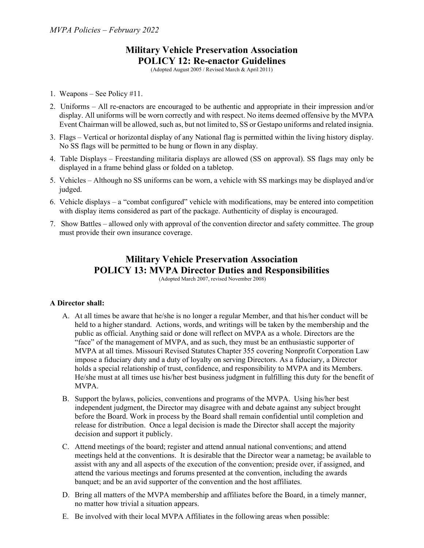# Military Vehicle Preservation Association POLICY 12: Re-enactor Guidelines

(Adopted August 2005 / Revised March & April 2011)

- 1. Weapons See Policy #11.
- 2. Uniforms All re-enactors are encouraged to be authentic and appropriate in their impression and/or display. All uniforms will be worn correctly and with respect. No items deemed offensive by the MVPA Event Chairman will be allowed, such as, but not limited to, SS or Gestapo uniforms and related insignia.
- 3. Flags Vertical or horizontal display of any National flag is permitted within the living history display. No SS flags will be permitted to be hung or flown in any display.
- 4. Table Displays Freestanding militaria displays are allowed (SS on approval). SS flags may only be displayed in a frame behind glass or folded on a tabletop.
- 5. Vehicles Although no SS uniforms can be worn, a vehicle with SS markings may be displayed and/or judged.
- 6. Vehicle displays a "combat configured" vehicle with modifications, may be entered into competition with display items considered as part of the package. Authenticity of display is encouraged.
- 7. Show Battles allowed only with approval of the convention director and safety committee. The group must provide their own insurance coverage.

# Military Vehicle Preservation Association POLICY 13: MVPA Director Duties and Responsibilities

(Adopted March 2007, revised November 2008)

#### A Director shall:

- A. At all times be aware that he/she is no longer a regular Member, and that his/her conduct will be held to a higher standard. Actions, words, and writings will be taken by the membership and the public as official. Anything said or done will reflect on MVPA as a whole. Directors are the "face" of the management of MVPA, and as such, they must be an enthusiastic supporter of MVPA at all times. Missouri Revised Statutes Chapter 355 covering Nonprofit Corporation Law impose a fiduciary duty and a duty of loyalty on serving Directors. As a fiduciary, a Director holds a special relationship of trust, confidence, and responsibility to MVPA and its Members. He/she must at all times use his/her best business judgment in fulfilling this duty for the benefit of MVPA.
- B. Support the bylaws, policies, conventions and programs of the MVPA. Using his/her best independent judgment, the Director may disagree with and debate against any subject brought before the Board. Work in process by the Board shall remain confidential until completion and release for distribution. Once a legal decision is made the Director shall accept the majority decision and support it publicly.
- C. Attend meetings of the board; register and attend annual national conventions; and attend meetings held at the conventions. It is desirable that the Director wear a nametag; be available to assist with any and all aspects of the execution of the convention; preside over, if assigned, and attend the various meetings and forums presented at the convention, including the awards banquet; and be an avid supporter of the convention and the host affiliates.
- D. Bring all matters of the MVPA membership and affiliates before the Board, in a timely manner, no matter how trivial a situation appears.
- E. Be involved with their local MVPA Affiliates in the following areas when possible: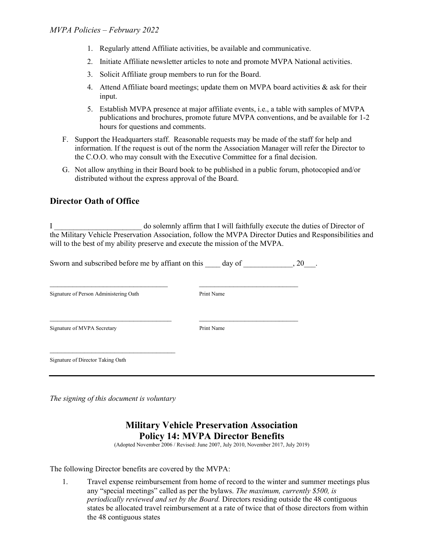- 1. Regularly attend Affiliate activities, be available and communicative.
- 2. Initiate Affiliate newsletter articles to note and promote MVPA National activities.
- 3. Solicit Affiliate group members to run for the Board.
- 4. Attend Affiliate board meetings; update them on MVPA board activities  $\&$  ask for their input.
- 5. Establish MVPA presence at major affiliate events, i.e., a table with samples of MVPA publications and brochures, promote future MVPA conventions, and be available for 1-2 hours for questions and comments.
- F. Support the Headquarters staff. Reasonable requests may be made of the staff for help and information. If the request is out of the norm the Association Manager will refer the Director to the C.O.O. who may consult with the Executive Committee for a final decision.
- G. Not allow anything in their Board book to be published in a public forum, photocopied and/or distributed without the express approval of the Board.

### Director Oath of Office

I \_\_\_\_\_\_\_\_\_\_\_\_\_\_\_\_\_\_\_\_\_\_\_ do solemnly affirm that I will faithfully execute the duties of Director of the Military Vehicle Preservation Association, follow the MVPA Director Duties and Responsibilities and will to the best of my ability preserve and execute the mission of the MVPA.

Sworn and subscribed before me by affiant on this day of  $\qquad \qquad$  . 20.

 $\mathcal{L}_\text{max}$  and the contract of the contract of the contract of the contract of the contract of the contract of

\_\_\_\_\_\_\_\_\_\_\_\_\_\_\_\_\_\_\_\_\_\_\_\_\_\_\_\_\_\_\_\_ \_\_\_\_\_\_\_\_\_\_\_\_\_\_\_\_\_\_\_\_\_\_\_\_\_\_

Signature of Person Administering Oath Print Name

Signature of MVPA Secretary Print Name

Signature of Director Taking Oath

The signing of this document is voluntary

## Military Vehicle Preservation Association Policy 14: MVPA Director Benefits

(Adopted November 2006 / Revised: June 2007, July 2010, November 2017, July 2019)

The following Director benefits are covered by the MVPA:

1. Travel expense reimbursement from home of record to the winter and summer meetings plus any "special meetings" called as per the bylaws. The maximum, currently \$500, is periodically reviewed and set by the Board. Directors residing outside the 48 contiguous states be allocated travel reimbursement at a rate of twice that of those directors from within the 48 contiguous states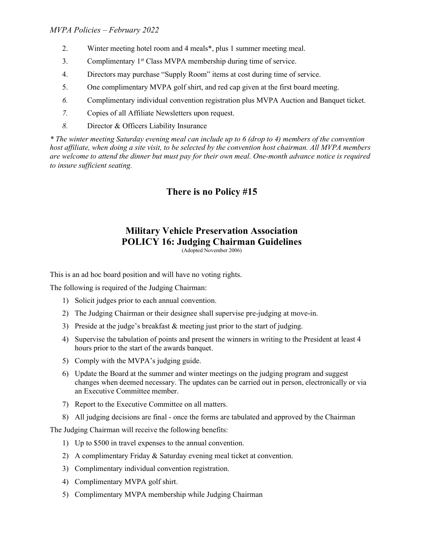- 2. Winter meeting hotel room and 4 meals\*, plus 1 summer meeting meal.
- 3. Complimentary 1st Class MVPA membership during time of service.
- 4. Directors may purchase "Supply Room" items at cost during time of service.
- 5. One complimentary MVPA golf shirt, and red cap given at the first board meeting.
- 6. Complimentary individual convention registration plus MVPA Auction and Banquet ticket.
- 7. Copies of all Affiliate Newsletters upon request.
- 8. Director & Officers Liability Insurance

\* The winter meeting Saturday evening meal can include up to 6 (drop to 4) members of the convention host affiliate, when doing a site visit, to be selected by the convention host chairman. All MVPA members are welcome to attend the dinner but must pay for their own meal. One-month advance notice is required to insure sufficient seating.

## There is no Policy #15

# Military Vehicle Preservation Association POLICY 16: Judging Chairman Guidelines

(Adopted November 2006)

This is an ad hoc board position and will have no voting rights.

The following is required of the Judging Chairman:

- 1) Solicit judges prior to each annual convention.
- 2) The Judging Chairman or their designee shall supervise pre-judging at move-in.
- 3) Preside at the judge's breakfast & meeting just prior to the start of judging.
- 4) Supervise the tabulation of points and present the winners in writing to the President at least 4 hours prior to the start of the awards banquet.
- 5) Comply with the MVPA's judging guide.
- 6) Update the Board at the summer and winter meetings on the judging program and suggest changes when deemed necessary. The updates can be carried out in person, electronically or via an Executive Committee member.
- 7) Report to the Executive Committee on all matters.
- 8) All judging decisions are final once the forms are tabulated and approved by the Chairman

The Judging Chairman will receive the following benefits:

- 1) Up to \$500 in travel expenses to the annual convention.
- 2) A complimentary Friday & Saturday evening meal ticket at convention.
- 3) Complimentary individual convention registration.
- 4) Complimentary MVPA golf shirt.
- 5) Complimentary MVPA membership while Judging Chairman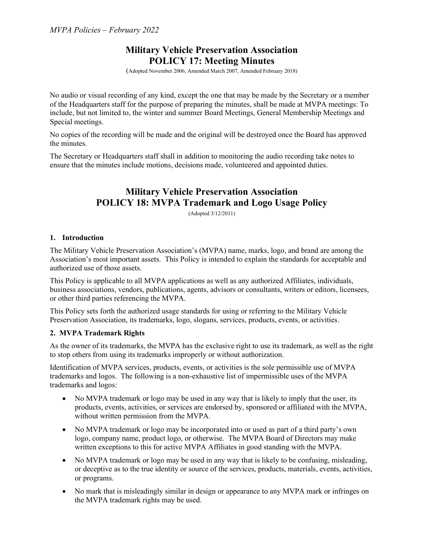## Military Vehicle Preservation Association POLICY 17: Meeting Minutes

(Adopted November 2006, Amended March 2007, Amended February 2018)

No audio or visual recording of any kind, except the one that may be made by the Secretary or a member of the Headquarters staff for the purpose of preparing the minutes, shall be made at MVPA meetings: To include, but not limited to, the winter and summer Board Meetings, General Membership Meetings and Special meetings.

No copies of the recording will be made and the original will be destroyed once the Board has approved the minutes.

The Secretary or Headquarters staff shall in addition to monitoring the audio recording take notes to ensure that the minutes include motions, decisions made, volunteered and appointed duties.

# Military Vehicle Preservation Association POLICY 18: MVPA Trademark and Logo Usage Policy

(Adopted 3/12/2011)

#### 1. Introduction

The Military Vehicle Preservation Association's (MVPA) name, marks, logo, and brand are among the Association's most important assets. This Policy is intended to explain the standards for acceptable and authorized use of those assets.

This Policy is applicable to all MVPA applications as well as any authorized Affiliates, individuals, business associations, vendors, publications, agents, advisors or consultants, writers or editors, licensees, or other third parties referencing the MVPA.

This Policy sets forth the authorized usage standards for using or referring to the Military Vehicle Preservation Association, its trademarks, logo, slogans, services, products, events, or activities.

#### 2. MVPA Trademark Rights

As the owner of its trademarks, the MVPA has the exclusive right to use its trademark, as well as the right to stop others from using its trademarks improperly or without authorization.

Identification of MVPA services, products, events, or activities is the sole permissible use of MVPA trademarks and logos. The following is a non-exhaustive list of impermissible uses of the MVPA trademarks and logos:

- No MVPA trademark or logo may be used in any way that is likely to imply that the user, its products, events, activities, or services are endorsed by, sponsored or affiliated with the MVPA, without written permission from the MVPA.
- No MVPA trademark or logo may be incorporated into or used as part of a third party's own logo, company name, product logo, or otherwise. The MVPA Board of Directors may make written exceptions to this for active MVPA Affiliates in good standing with the MVPA.
- No MVPA trademark or logo may be used in any way that is likely to be confusing, misleading, or deceptive as to the true identity or source of the services, products, materials, events, activities, or programs.
- No mark that is misleadingly similar in design or appearance to any MVPA mark or infringes on the MVPA trademark rights may be used.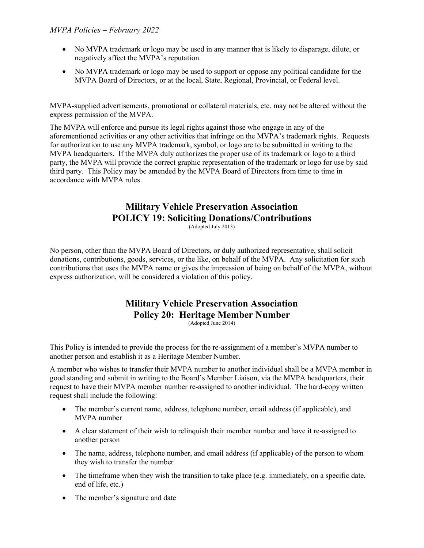- No MVPA trademark or logo may be used in any manner that is likely to disparage, dilute, or negatively affect the MVPA's reputation.
- No MVPA trademark or logo may be used to support or oppose any political candidate for the MVPA Board of Directors, or at the local, State, Regional, Provincial, or Federal level.

MVPA-supplied advertisements, promotional or collateral materials, etc. may not be altered without the express permission of the MVPA.

The MVPA will enforce and pursue its legal rights against those who engage in any of the aforementioned activities or any other activities that infringe on the MVPA's trademark rights. Requests for authorization to use any MVPA trademark, symbol, or logo are to be submitted in writing to the MVPA headquarters. If the MVPA duly authorizes the proper use of its trademark or logo to a third party, the MVPA will provide the correct graphic representation of the trademark or logo for use by said third party. This Policy may be amended by the MVPA Board of Directors from time to time in accordance with MVPA rules.

# Military Vehicle Preservation Association POLICY 19: Soliciting Donations/Contributions

(Adopted July 2013)

No person, other than the MVPA Board of Directors, or duly authorized representative, shall solicit donations, contributions, goods, services, or the like, on behalf of the MVPA. Any solicitation for such contributions that uses the MVPA name or gives the impression of being on behalf of the MVPA, without express authorization, will be considered a violation of this policy.

# Military Vehicle Preservation Association Policy 20: Heritage Member Number

(Adopted June 2014)

This Policy is intended to provide the process for the re-assignment of a member's MVPA number to another person and establish it as a Heritage Member Number.

A member who wishes to transfer their MVPA number to another individual shall be a MVPA member in good standing and submit in writing to the Board's Member Liaison, via the MVPA headquarters, their request to have their MVPA member number re-assigned to another individual. The hard-copy written request shall include the following:

- The member's current name, address, telephone number, email address (if applicable), and MVPA number
- A clear statement of their wish to relinquish their member number and have it re-assigned to another person
- The name, address, telephone number, and email address (if applicable) of the person to whom they wish to transfer the number
- The timeframe when they wish the transition to take place (e.g. immediately, on a specific date, end of life, etc.)
- The member's signature and date